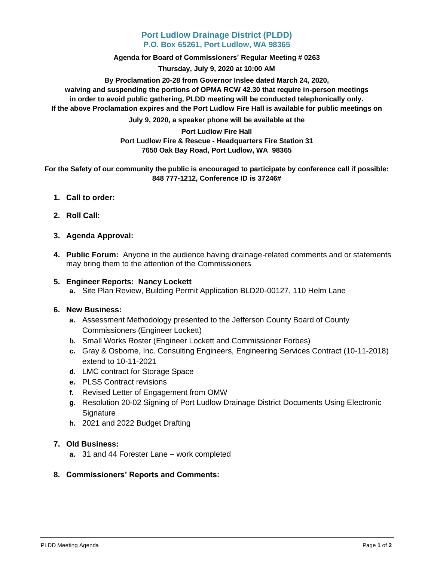# **Port Ludlow Drainage District (PLDD) P.O. Box 65261, Port Ludlow, WA 98365**

**Agenda for Board of Commissioners' Regular Meeting # 0263**

**Thursday, July 9, 2020 at 10:00 AM**

**By Proclamation 20-28 from Governor Inslee dated March 24, 2020, waiving and suspending the portions of OPMA RCW 42.30 that require in-person meetings in order to avoid public gathering, PLDD meeting will be conducted telephonically only. If the above Proclamation expires and the Port Ludlow Fire Hall is available for public meetings on** 

**July 9, 2020, a speaker phone will be available at the** 

### **Port Ludlow Fire Hall Port Ludlow Fire & Rescue - Headquarters Fire Station 31 7650 Oak Bay Road, Port Ludlow, WA 98365**

**For the Safety of our community the public is encouraged to participate by conference call if possible: 848 777-1212, Conference ID is 37246#**

- **1. Call to order:**
- **2. Roll Call:**
- **3. Agenda Approval:**
- **4. Public Forum:** Anyone in the audience having drainage-related comments and or statements may bring them to the attention of the Commissioners

# **5. Engineer Reports: Nancy Lockett**

**a.** Site Plan Review, Building Permit Application BLD20-00127, 110 Helm Lane

### **6. New Business:**

- **a.** Assessment Methodology presented to the Jefferson County Board of County Commissioners (Engineer Lockett)
- **b.** Small Works Roster (Engineer Lockett and Commissioner Forbes)
- **c.** Gray & Osborne, Inc. Consulting Engineers, Engineering Services Contract (10-11-2018) extend to 10-11-2021
- **d.** LMC contract for Storage Space
- **e.** PLSS Contract revisions
- **f.** Revised Letter of Engagement from OMW
- **g.** Resolution 20-02 Signing of Port Ludlow Drainage District Documents Using Electronic **Signature**
- **h.** 2021 and 2022 Budget Drafting

### **7. Old Business:**

**a.** 31 and 44 Forester Lane – work completed

# **8. Commissioners' Reports and Comments:**